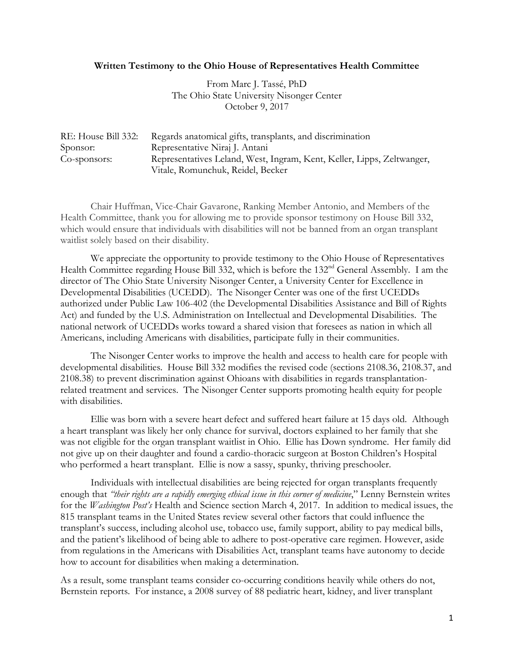## **Written Testimony to the Ohio House of Representatives Health Committee**

From Marc J. Tassé, PhD The Ohio State University Nisonger Center October 9, 2017

| RE: House Bill 332: | Regards anatomical gifts, transplants, and discrimination              |
|---------------------|------------------------------------------------------------------------|
| Sponsor:            | Representative Niraj J. Antani                                         |
| Co-sponsors:        | Representatives Leland, West, Ingram, Kent, Keller, Lipps, Zeltwanger, |
|                     | Vitale, Romunchuk, Reidel, Becker                                      |

Chair Huffman, Vice-Chair Gavarone, Ranking Member Antonio, and Members of the Health Committee, thank you for allowing me to provide sponsor testimony on House Bill 332, which would ensure that individuals with disabilities will not be banned from an organ transplant waitlist solely based on their disability.

We appreciate the opportunity to provide testimony to the Ohio House of Representatives Health Committee regarding House Bill 332, which is before the 132<sup>nd</sup> General Assembly. I am the director of The Ohio State University Nisonger Center, a University Center for Excellence in Developmental Disabilities (UCEDD). The Nisonger Center was one of the first UCEDDs authorized under Public Law 106-402 (the Developmental Disabilities Assistance and Bill of Rights Act) and funded by the U.S. Administration on Intellectual and Developmental Disabilities. The national network of UCEDDs works toward a shared vision that foresees as nation in which all Americans, including Americans with disabilities, participate fully in their communities.

The Nisonger Center works to improve the health and access to health care for people with developmental disabilities. House Bill 332 modifies the revised code (sections 2108.36, 2108.37, and 2108.38) to prevent discrimination against Ohioans with disabilities in regards transplantationrelated treatment and services. The Nisonger Center supports promoting health equity for people with disabilities.

Ellie was born with a severe heart defect and suffered heart failure at 15 days old. Although a heart transplant was likely her only chance for survival, doctors explained to her family that she was not eligible for the organ transplant waitlist in Ohio. Ellie has Down syndrome. Her family did not give up on their daughter and found a cardio-thoracic surgeon at Boston Children's Hospital who performed a heart transplant. Ellie is now a sassy, spunky, thriving preschooler.

Individuals with intellectual disabilities are being rejected for organ transplants frequently enough that *"their rights are a rapidly emerging ethical issue in this corner of medicine*," Lenny Bernstein writes for the *Washington Post's* Health and Science section March 4, 2017. In addition to medical issues, the 815 transplant teams in the United States review several other factors that could influence the transplant's success, including alcohol use, tobacco use, family support, ability to pay medical bills, and the patient's likelihood of being able to adhere to post-operative care regimen. However, aside from regulations in the Americans with Disabilities Act, transplant teams have autonomy to decide how to account for disabilities when making a determination.

As a result, some transplant teams consider co-occurring conditions heavily while others do not, Bernstein reports. For instance, a 2008 survey of 88 pediatric heart, kidney, and liver transplant